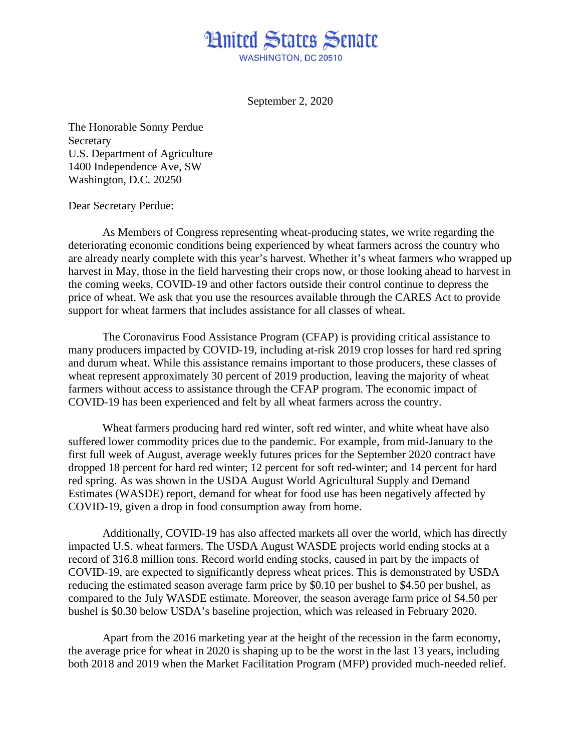## **Hnited States Senate** WASHINGTON, DC 20510

September 2, 2020

The Honorable Sonny Perdue Secretary U.S. Department of Agriculture 1400 Independence Ave, SW Washington, D.C. 20250

## Dear Secretary Perdue:

As Members of Congress representing wheat-producing states, we write regarding the deteriorating economic conditions being experienced by wheat farmers across the country who are already nearly complete with this year's harvest. Whether it's wheat farmers who wrapped up harvest in May, those in the field harvesting their crops now, or those looking ahead to harvest in the coming weeks, COVID-19 and other factors outside their control continue to depress the price of wheat. We ask that you use the resources available through the CARES Act to provide support for wheat farmers that includes assistance for all classes of wheat.

The Coronavirus Food Assistance Program (CFAP) is providing critical assistance to many producers impacted by COVID-19, including at-risk 2019 crop losses for hard red spring and durum wheat. While this assistance remains important to those producers, these classes of wheat represent approximately 30 percent of 2019 production, leaving the majority of wheat farmers without access to assistance through the CFAP program. The economic impact of COVID-19 has been experienced and felt by all wheat farmers across the country.

Wheat farmers producing hard red winter, soft red winter, and white wheat have also suffered lower commodity prices due to the pandemic. For example, from mid-January to the first full week of August, average weekly futures prices for the September 2020 contract have dropped 18 percent for hard red winter; 12 percent for soft red-winter; and 14 percent for hard red spring. As was shown in the USDA August World Agricultural Supply and Demand Estimates (WASDE) report, demand for wheat for food use has been negatively affected by COVID-19, given a drop in food consumption away from home.

Additionally, COVID-19 has also affected markets all over the world, which has directly impacted U.S. wheat farmers. The USDA August WASDE projects world ending stocks at a record of 316.8 million tons. Record world ending stocks, caused in part by the impacts of COVID-19, are expected to significantly depress wheat prices. This is demonstrated by USDA reducing the estimated season average farm price by \$0.10 per bushel to \$4.50 per bushel, as compared to the July WASDE estimate. Moreover, the season average farm price of \$4.50 per bushel is \$0.30 below USDA's baseline projection, which was released in February 2020.

Apart from the 2016 marketing year at the height of the recession in the farm economy, the average price for wheat in 2020 is shaping up to be the worst in the last 13 years, including both 2018 and 2019 when the Market Facilitation Program (MFP) provided much-needed relief.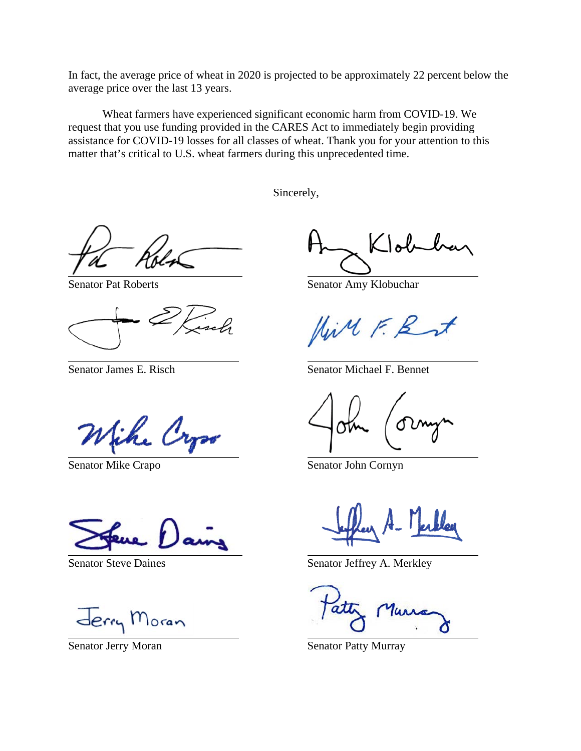In fact, the average price of wheat in 2020 is projected to be approximately 22 percent below the average price over the last 13 years.

Wheat farmers have experienced significant economic harm from COVID-19. We request that you use funding provided in the CARES Act to immediately begin providing assistance for COVID-19 losses for all classes of wheat. Thank you for your attention to this matter that's critical to U.S. wheat farmers during this unprecedented time.

Sincerely,

Senator Mike Crapo Senator John Cornyn

Jerry Moran

Klob

Senator Pat Roberts Senator Amy Klobuchar

LiMFE

Senator James E. Risch Senator Michael F. Bennet

Senator Steve Daines<br>
Senator Jeffrey A. Merkley

Senator Jerry Moran Senator Patty Murray